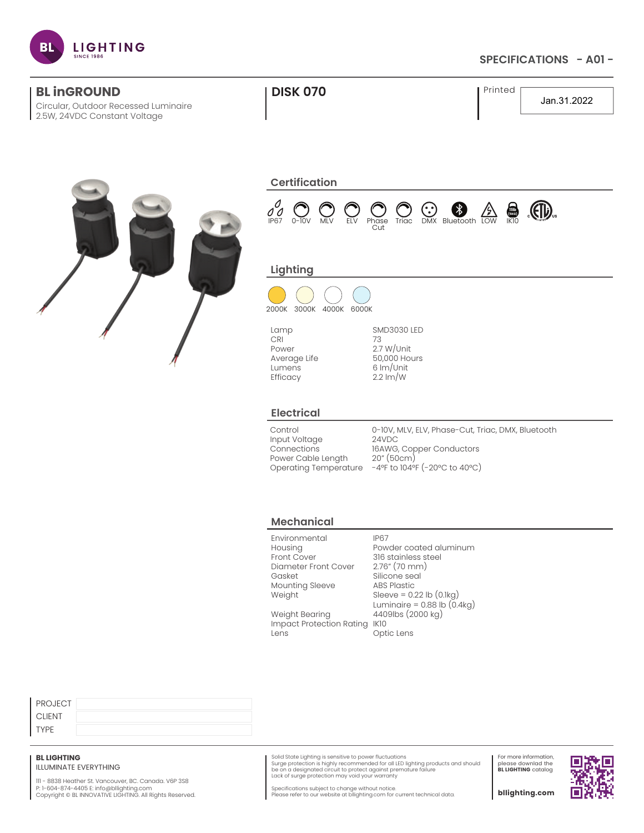

### **SPECIFICATIONS - A01 -**

| <b>BL inGROUND</b><br>Circular, Outdoor Recessed Luminaire<br>2.5W, 24VDC Constant Voltage | <b>DISK 070</b>                                                                                                                                                                         | Printed<br>Jan.31.2022                                                                                                                                                                                       |  |  |  |  |  |
|--------------------------------------------------------------------------------------------|-----------------------------------------------------------------------------------------------------------------------------------------------------------------------------------------|--------------------------------------------------------------------------------------------------------------------------------------------------------------------------------------------------------------|--|--|--|--|--|
|                                                                                            | <b>Certification</b><br>$\sigma^0$<br>$\mathcal{L}(\mathbf{D})$<br>$\bigodot$ Bluetooth LOW<br>$rac{1}{\frac{6}{1}}$<br>IP67<br>$0 - 10V$<br><b>MLV</b><br>ELV<br>Phase<br>Triac<br>Cut |                                                                                                                                                                                                              |  |  |  |  |  |
|                                                                                            | Lighting<br>2000K 3000K 4000K 6000K                                                                                                                                                     |                                                                                                                                                                                                              |  |  |  |  |  |
|                                                                                            | Lamp<br>CRI<br>Power<br>Average Life<br>Lumens<br>Efficacy                                                                                                                              | <b>SMD3030 LED</b><br>73<br>$2.7 W/$ Unit<br>50,000 Hours<br>6 Im/Unit<br>$2.2 \text{ Im}/\text{W}$                                                                                                          |  |  |  |  |  |
|                                                                                            | <b>Electrical</b>                                                                                                                                                                       |                                                                                                                                                                                                              |  |  |  |  |  |
|                                                                                            | Control<br>Input Voltage<br>Connections<br>Power Cable Length                                                                                                                           | 0-10V, MLV, ELV, Phase-Cut, Triac, DMX, Bluetooth<br>24VDC<br>16AWG, Copper Conductors<br>20''(50cm)<br>Operating Temperature -4ºF to 104ºF (-20°C to 40°C)                                                  |  |  |  |  |  |
|                                                                                            | <b>Mechanical</b>                                                                                                                                                                       |                                                                                                                                                                                                              |  |  |  |  |  |
|                                                                                            | Environmental<br>Housing<br>Front Cover<br>Diameter Front Cover<br>Gasket<br>Mounting Sleeve<br>Weight<br>Weight Bearing<br>Impact Protection Rating IK10                               | <b>IP67</b><br>Powder coated aluminum<br>316 stainless steel<br>2.76" (70 mm)<br>Silicone seal<br><b>ABS Plastic</b><br>Sleeve = $0.22$ lb $(0.1kg)$<br>Luminaire = $0.88$ lb $(0.4kg)$<br>4409lbs (2000 kg) |  |  |  |  |  |

Lens

| PROJECT       |  |
|---------------|--|
| <b>CLIENT</b> |  |
| TYPE          |  |

### **BL LIGHTING**

ILLUMINATE EVERYTHING

111 - 8838 Heather St. Vancouver, BC. Canada. V6P 3S8<br>P: 1-604-874-4405 E: info@bllighting.com<br>Copyright © BL INNOVATIVE LIGHTING. All Rights Reserved.

Solid State Lighting is sensitive to power fluctuations<br>Surge protection is highly recommended for all LED lighting products and should<br>be on a designated circuit to protect against premature failure<br>Lack of surge protecti

Optic Lens

For more information, please downlad the **BL LIGHTING** catalog

п

Specifications subject to change without notice. Please refer to our website at bllighting.com for current technical data.

**bllighting.com**